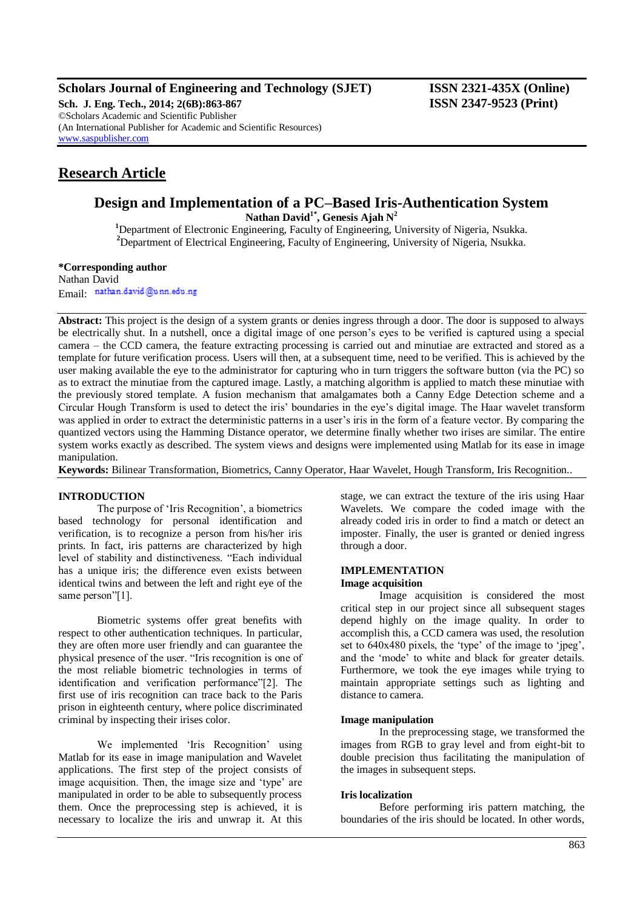## **Scholars Journal of Engineering and Technology (SJET) ISSN 2321-435X (Online)**

**Sch. J. Eng. Tech., 2014; 2(6B):863-867 ISSN 2347-9523 (Print)** ©Scholars Academic and Scientific Publisher (An International Publisher for Academic and Scientific Resources) [www.saspublisher.com](http://www.saspublisher.com/)

# **Research Article**

# **Design and Implementation of a PC–Based Iris-Authentication System**

**Nathan David1\*, Genesis Ajah N<sup>2</sup>**

**<sup>1</sup>**Department of Electronic Engineering, Faculty of Engineering, University of Nigeria, Nsukka. <sup>2</sup>Department of Electrical Engineering, Faculty of Engineering, University of Nigeria, Nsukka.

### **\*Corresponding author**

Nathan David Email: nathan.david@unn.edu.ng

**Abstract:** This project is the design of a system grants or denies ingress through a door. The door is supposed to always be electrically shut. In a nutshell, once a digital image of one person"s eyes to be verified is captured using a special camera – the CCD camera, the feature extracting processing is carried out and minutiae are extracted and stored as a template for future verification process. Users will then, at a subsequent time, need to be verified. This is achieved by the user making available the eye to the administrator for capturing who in turn triggers the software button (via the PC) so as to extract the minutiae from the captured image. Lastly, a matching algorithm is applied to match these minutiae with the previously stored template. A fusion mechanism that amalgamates both a Canny Edge Detection scheme and a Circular Hough Transform is used to detect the iris" boundaries in the eye"s digital image. The Haar wavelet transform was applied in order to extract the deterministic patterns in a user's iris in the form of a feature vector. By comparing the quantized vectors using the Hamming Distance operator, we determine finally whether two irises are similar. The entire system works exactly as described. The system views and designs were implemented using Matlab for its ease in image manipulation.

**Keywords:** Bilinear Transformation, Biometrics, Canny Operator, Haar Wavelet, Hough Transform, Iris Recognition..

### **INTRODUCTION**

The purpose of "Iris Recognition", a biometrics based technology for personal identification and verification, is to recognize a person from his/her iris prints. In fact, iris patterns are characterized by high level of stability and distinctiveness. "Each individual has a unique iris; the difference even exists between identical twins and between the left and right eye of the same person"[1].

Biometric systems offer great benefits with respect to other authentication techniques. In particular, they are often more user friendly and can guarantee the physical presence of the user. "Iris recognition is one of the most reliable biometric technologies in terms of identification and verification performance"[2]. The first use of iris recognition can trace back to the Paris prison in eighteenth century, where police discriminated criminal by inspecting their irises color.

We implemented 'Iris Recognition' using Matlab for its ease in image manipulation and Wavelet applications. The first step of the project consists of image acquisition. Then, the image size and 'type' are manipulated in order to be able to subsequently process them. Once the preprocessing step is achieved, it is necessary to localize the iris and unwrap it. At this stage, we can extract the texture of the iris using Haar Wavelets. We compare the coded image with the already coded iris in order to find a match or detect an imposter. Finally, the user is granted or denied ingress through a door.

## **IMPLEMENTATION**

**Image acquisition**

Image acquisition is considered the most critical step in our project since all subsequent stages depend highly on the image quality. In order to accomplish this, a CCD camera was used, the resolution set to  $640x480$  pixels, the 'type' of the image to 'jpeg', and the "mode" to white and black for greater details. Furthermore, we took the eye images while trying to maintain appropriate settings such as lighting and distance to camera.

## **Image manipulation**

In the preprocessing stage, we transformed the images from RGB to gray level and from eight-bit to double precision thus facilitating the manipulation of the images in subsequent steps.

### **Iris localization**

Before performing iris pattern matching, the boundaries of the iris should be located. In other words,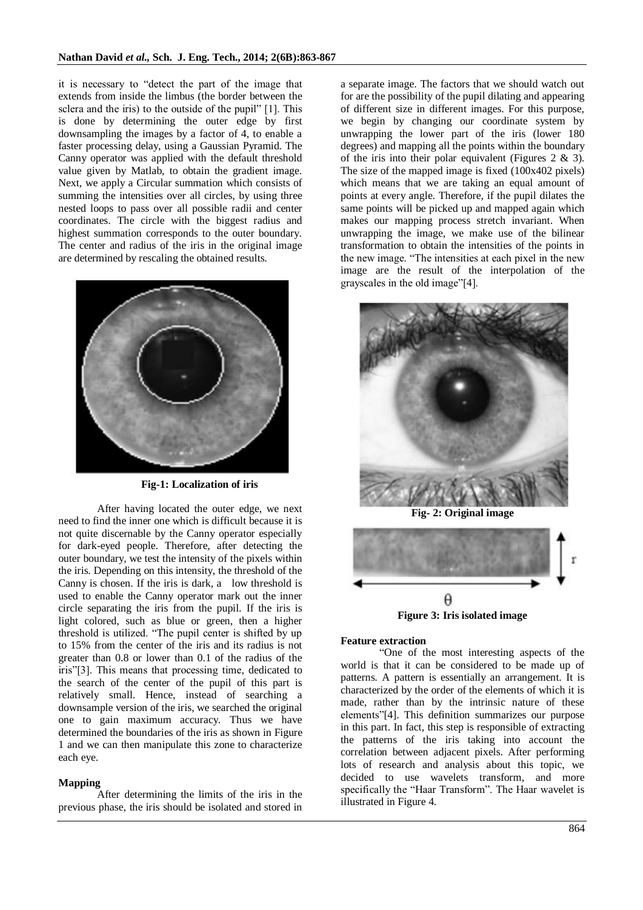it is necessary to "detect the part of the image that extends from inside the limbus (the border between the sclera and the iris) to the outside of the pupil" [1]. This is done by determining the outer edge by first downsampling the images by a factor of 4, to enable a faster processing delay, using a Gaussian Pyramid. The Canny operator was applied with the default threshold value given by Matlab, to obtain the gradient image. Next, we apply a Circular summation which consists of summing the intensities over all circles, by using three nested loops to pass over all possible radii and center coordinates. The circle with the biggest radius and highest summation corresponds to the outer boundary. The center and radius of the iris in the original image are determined by rescaling the obtained results.



**Fig-1: Localization of iris**

After having located the outer edge, we next need to find the inner one which is difficult because it is not quite discernable by the Canny operator especially for dark-eyed people. Therefore, after detecting the outer boundary, we test the intensity of the pixels within the iris. Depending on this intensity, the threshold of the Canny is chosen. If the iris is dark, a low threshold is used to enable the Canny operator mark out the inner circle separating the iris from the pupil. If the iris is light colored, such as blue or green, then a higher threshold is utilized. "The pupil center is shifted by up to 15% from the center of the iris and its radius is not greater than 0.8 or lower than 0.1 of the radius of the iris"[3]. This means that processing time, dedicated to the search of the center of the pupil of this part is relatively small. Hence, instead of searching a downsample version of the iris, we searched the original one to gain maximum accuracy. Thus we have determined the boundaries of the iris as shown in Figure 1 and we can then manipulate this zone to characterize each eye.

#### **Mapping**

After determining the limits of the iris in the previous phase, the iris should be isolated and stored in

a separate image. The factors that we should watch out for are the possibility of the pupil dilating and appearing of different size in different images. For this purpose, we begin by changing our coordinate system by unwrapping the lower part of the iris (lower 180 degrees) and mapping all the points within the boundary of the iris into their polar equivalent (Figures  $2 \& 3$ ). The size of the mapped image is fixed (100x402 pixels) which means that we are taking an equal amount of points at every angle. Therefore, if the pupil dilates the same points will be picked up and mapped again which makes our mapping process stretch invariant. When unwrapping the image, we make use of the bilinear transformation to obtain the intensities of the points in the new image. "The intensities at each pixel in the new image are the result of the interpolation of the grayscales in the old image"[4].



**Fig- 2: Original image**



**Figure 3: Iris isolated image**

#### **Feature extraction**

"One of the most interesting aspects of the world is that it can be considered to be made up of patterns. A pattern is essentially an arrangement. It is characterized by the order of the elements of which it is made, rather than by the intrinsic nature of these elements"[4]. This definition summarizes our purpose in this part. In fact, this step is responsible of extracting the patterns of the iris taking into account the correlation between adjacent pixels. After performing lots of research and analysis about this topic, we decided to use wavelets transform, and more specifically the "Haar Transform". The Haar wavelet is illustrated in Figure 4.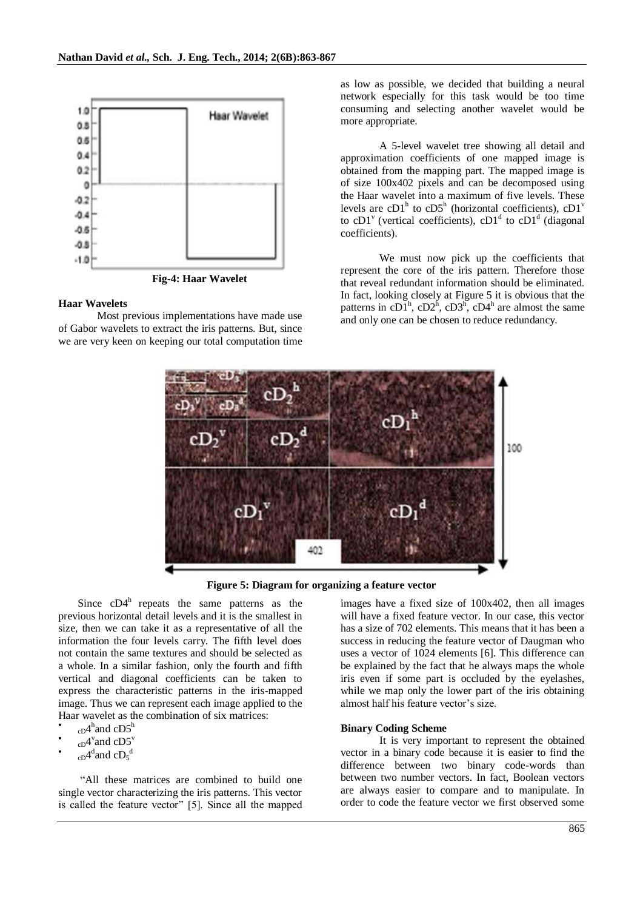

**Fig-4: Haar Wavelet**

#### **Haar Wavelets**

Most previous implementations have made use of Gabor wavelets to extract the iris patterns. But, since we are very keen on keeping our total computation time as low as possible, we decided that building a neural network especially for this task would be too time consuming and selecting another wavelet would be more appropriate.

A 5-level wavelet tree showing all detail and approximation coefficients of one mapped image is obtained from the mapping part. The mapped image is of size 100x402 pixels and can be decomposed using the Haar wavelet into a maximum of five levels. These levels are  $cD1^h$  to  $cD5^h$  (horizontal coefficients),  $cD1^v$ to cD1<sup>v</sup> (vertical coefficients), cD1<sup>d</sup> to cD1<sup>d</sup> (diagonal coefficients).

We must now pick up the coefficients that represent the core of the iris pattern. Therefore those that reveal redundant information should be eliminated. In fact, looking closely at Figure 5 it is obvious that the patterns in cD $I<sup>h</sup>$ , cD $2<sup>h</sup>$ , cD $3<sup>h</sup>$ , cD $4<sup>h</sup>$  are almost the same and only one can be chosen to reduce redundancy.



**Figure 5: Diagram for organizing a feature vector**

Since  $cD4^h$  repeats the same patterns as the previous horizontal detail levels and it is the smallest in size, then we can take it as a representative of all the information the four levels carry. The fifth level does not contain the same textures and should be selected as a whole. In a similar fashion, only the fourth and fifth vertical and diagonal coefficients can be taken to express the characteristic patterns in the iris-mapped image. Thus we can represent each image applied to the Haar wavelet as the combination of six matrices:

- $\bullet$  $_{cD}4^{\text{h}}$ and  $_{cD}5^{\text{h}}$
- $\bullet$  $_{cD}4$ <sup>v</sup>and  $cD5$ <sup>v</sup>
- $\bullet$  $_{cD}4$ <sup>d</sup>and  $cD_5$ <sup>d</sup>

"All these matrices are combined to build one single vector characterizing the iris patterns. This vector is called the feature vector" [5]. Since all the mapped

images have a fixed size of 100x402, then all images will have a fixed feature vector. In our case, this vector has a size of 702 elements. This means that it has been a success in reducing the feature vector of Daugman who uses a vector of 1024 elements [6]. This difference can be explained by the fact that he always maps the whole iris even if some part is occluded by the eyelashes, while we map only the lower part of the iris obtaining almost half his feature vector's size.

#### **Binary Coding Scheme**

It is very important to represent the obtained vector in a binary code because it is easier to find the difference between two binary code-words than between two number vectors. In fact, Boolean vectors are always easier to compare and to manipulate. In order to code the feature vector we first observed some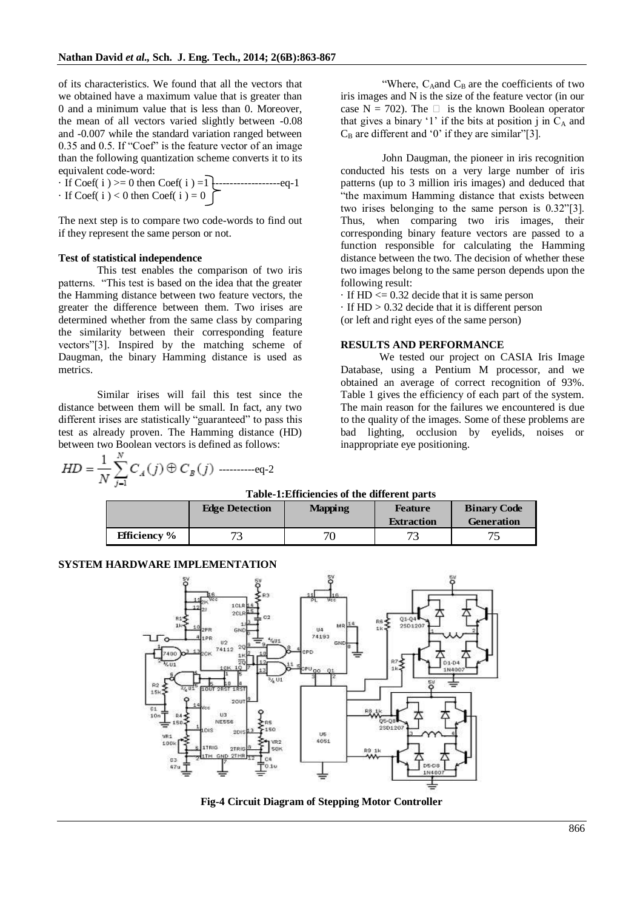of its characteristics. We found that all the vectors that we obtained have a maximum value that is greater than 0 and a minimum value that is less than 0. Moreover, the mean of all vectors varied slightly between -0.08 and -0.007 while the standard variation ranged between 0.35 and 0.5. If "Coef" is the feature vector of an image than the following quantization scheme converts it to its equivalent code-word:

· If Coef( i ) >= 0 then Coef( i ) =1 -------------------eq-1 · If Coef( i ) < 0 then Coef( i ) = 0

The next step is to compare two code-words to find out if they represent the same person or not.

#### **Test of statistical independence**

This test enables the comparison of two iris patterns. "This test is based on the idea that the greater the Hamming distance between two feature vectors, the greater the difference between them. Two irises are determined whether from the same class by comparing the similarity between their corresponding feature vectors"[3]. Inspired by the matching scheme of Daugman, the binary Hamming distance is used as metrics.

Similar irises will fail this test since the distance between them will be small. In fact, any two different irises are statistically "guaranteed" to pass this test as already proven. The Hamming distance (HD) between two Boolean vectors is defined as follows:

----------eq-2

"Where,  $C_A$ and  $C_B$  are the coefficients of two iris images and N is the size of the feature vector (in our case N = 702). The  $\Box$  is the known Boolean operator that gives a binary '1' if the bits at position  $\mathbf{j}$  in  $\mathbf{C}_{\mathbf{A}}$  and  $C_B$  are different and '0' if they are similar"[3].

John Daugman, the pioneer in iris recognition conducted his tests on a very large number of iris patterns (up to 3 million iris images) and deduced that "the maximum Hamming distance that exists between two irises belonging to the same person is 0.32"[3]. Thus, when comparing two iris images, their corresponding binary feature vectors are passed to a function responsible for calculating the Hamming distance between the two. The decision of whether these two images belong to the same person depends upon the following result:

 $\cdot$  If HD  $\leq$  0.32 decide that it is same person

· If HD > 0.32 decide that it is different person (or left and right eyes of the same person)

#### **RESULTS AND PERFORMANCE**

We tested our project on CASIA Iris Image Database, using a Pentium M processor, and we obtained an average of correct recognition of 93%. Table 1 gives the efficiency of each part of the system. The main reason for the failures we encountered is due to the quality of the images. Some of these problems are bad lighting, occlusion by eyelids, noises or inappropriate eye positioning.

| Table-1: Efficiencies of the different parts |                       |                |                   |                    |
|----------------------------------------------|-----------------------|----------------|-------------------|--------------------|
|                                              | <b>Edge Detection</b> | <b>Mapping</b> | <b>Feature</b>    | <b>Binary Code</b> |
|                                              |                       |                | <b>Extraction</b> | <b>Generation</b>  |
| <b>Efficiency</b> %                          | 72                    | 70             |                   |                    |

### **SYSTEM HARDWARE IMPLEMENTATION**



**Fig-4 Circuit Diagram of Stepping Motor Controller**